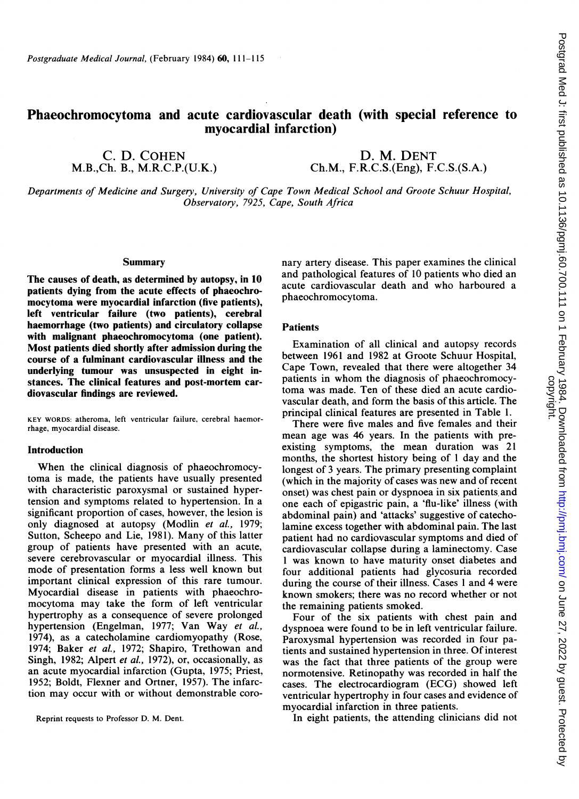# Phaeochromocytoma and acute cardiovascular death (with special reference to myocardial infarction)

C. D. COHEN M.B.,Ch. B., M.R.C.P.(U.K.)

D. M. DENT Ch.M., F.R.C.S.(Eng), F.C.S.(S.A.)

Departments of Medicine and Surgery, University of Cape Town Medical School and Groote Schuur Hospital, Observatory, 7925, Cape, South Africa

# **Summary**

The causes of death, as determined by autopsy, in 10 patients dying from the acute effects of phaeochromocytoma were myocardial infarction (five patients), left ventricular failure (two patients), cerebral haemorrhage (two patients) and circulatory collapse with malignant phaeochromocytoma (one patient). Most patients died shortly after admission during the course of a fulminant cardiovascular illness and the underlying tumour was unsuspected in eight instances. The clinical features and post-mortem cardiovascular findings are reviewed.

KEY WORDS: atheroma, left ventricular failure, cerebral haemorrhage, myocardial disease.

#### Introduction

When the clinical diagnosis of phaeochromocytoma is made, the patients have usually presented with characteristic paroxysmal or sustained hypertension and symptoms related to hypertension. In a significant proportion of cases, however, the lesion is only diagnosed at autopsy (Modlin et al., 1979; Sutton, Scheepo and Lie, 1981). Many of this latter group of patients have presented with an acute, severe cerebrovascular or myocardial illness. This mode of presentation forms a less well known but important clinical expression of this rare tumour. Myocardial disease in patients with phaeochromocytoma may take the form of left ventricular hypertrophy as a consequence of severe prolonged hypertension (Engelman, 1977; Van Way et al., 1974), as a catecholamine cardiomyopathy (Rose, 1974; Baker et al., 1972; Shapiro, Trethowan and Singh, 1982; Alpert et al., 1972), or, occasionally, as an acute myocardial infarction (Gupta, 1975; Priest, 1952; Boldt, Flexner and Ortner, 1957). The infarction may occur with or without demonstrable coro-

nary artery disease. This paper examines the clinical and pathological features of <sup>10</sup> patients who died an acute cardiovascular death and who harboured a phaeochromocytoma.

## Patients

Examination of all clinical and autopsy records between 1961 and 1982 at Groote Schuur Hospital, Cape Town, revealed that there were altogether 34 patients in whom the diagnosis of phaeochromocytoma was made. Ten of these died an acute cardiovascular death, and form the basis of this article. The principal clinical features are presented in Table 1.

There were five males and five females and their mean age was 46 years. In the patients with preexisting symptoms, the mean duration was 21 months, the shortest history being of <sup>I</sup> day and the longest of 3 years. The primary presenting complaint (which in the majority of cases was new and of recent onset) was chest pain or dyspnoea in six patients, and one each of epigastric pain, a 'flu-like' illness (with abdominal pain) and 'attacks' suggestive of catecholamine excess together with abdominal pain. The last patient had no cardiovascular symptoms and died of cardiovascular collapse during a laminectomy. Case <sup>1</sup> was known to have maturity onset diabetes and four additional patients had glycosuria recorded during the course of their illness. Cases <sup>1</sup> and 4 were known smokers; there was no record whether or not the remaining patients smoked.

Four of the six patients with chest pain and dyspnoea were found to be in left ventricular failure. Paroxysmal hypertension was recorded in four patients and sustained hypertension in three. Of interest was the fact that three patients of the group were normotensive. Retinopathy was recorded in half the cases. The electrocardiogram (ECG) showed left ventricular hypertrophy in four cases and evidence of myocardial infarction in three patients.

Reprint requests to Professor D. M. Dent. In eight patients, the attending clinicians did not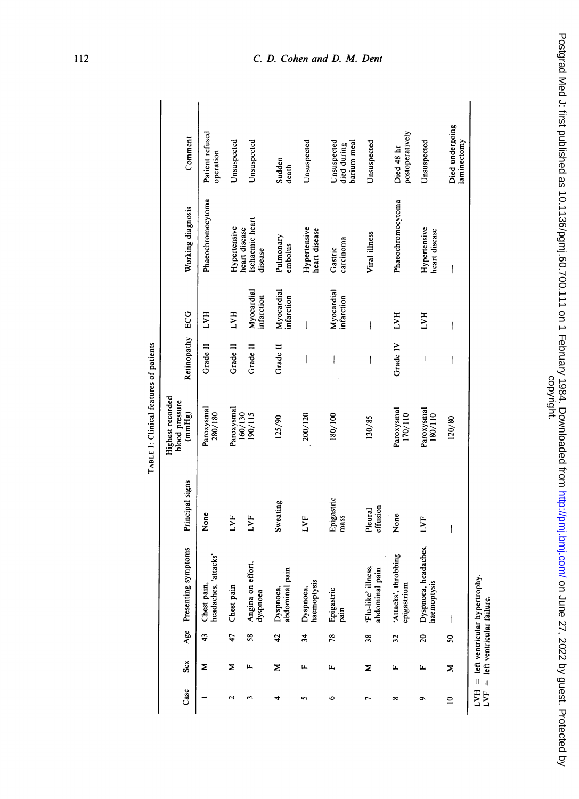|      |     |                           |                                       |                     | Highest recorded<br>blood pressure |                          |                          |                                             |                                           |
|------|-----|---------------------------|---------------------------------------|---------------------|------------------------------------|--------------------------|--------------------------|---------------------------------------------|-------------------------------------------|
| Case | Sex | Age                       | Presenting symptoms                   | Principal signs     | (mmHg)                             | Retinopathy ECG          |                          | Working diagnosis                           | Comment                                   |
|      | Σ   | 43                        | headaches, 'attacks'<br>Chest pain,   | None                | Paroxysmal<br>280/180              | Grade II                 | LVH                      | Phaeochromocytoma                           | Patient refused<br>operation              |
|      | Σ   | 47                        | Chest pain                            | LVF                 | Paroxysmal<br>160/130              | Grade II                 | <b>HAT</b>               | Hypertensive                                | Unsuspected                               |
|      | щ   | 58                        | Angina on effort,<br>dyspnoea         | LVF                 | 190/115                            | Grade II                 | Myocardial<br>infarction | Ischaemic heart<br>heart disease<br>disease | Unsuspected                               |
|      | Σ   | 42                        | Dyspnoea,<br>abdominal pain           | Sweating            | 125/90                             | Grade II                 | Myocardial<br>infarction | Pulmonary<br>embolus                        | Sudden<br>death                           |
|      | щ   | $\frac{3}{4}$             | Dyspnoea,<br>haemoptysis              | E                   | 200/120                            |                          | I                        | Hypertensive<br>heart disease               | Unsuspected                               |
|      | щ   | 78                        | Epigastric<br>pain                    | Epigastric<br>mass  | 180/100                            |                          | Myocardial<br>infarction | carcinoma<br>Gastric                        | Unsuspected<br>barium meal<br>died during |
|      | Σ   | 38                        | 'Flu-like' illness,<br>abdominal pain | effusion<br>Pleural | 130/85                             | I                        | ļ                        | Viral illness                               | Unsuspected                               |
|      | щ   | $\overline{\mathfrak{Z}}$ | 'Attacks', throbbing<br>epigastrium   | None                | Paroxysmal<br>170/110              | Grade IV                 | LVH                      | Phaeochromocytoma                           | postoperatively<br>Died 48 hr             |
|      | щ   | 20                        | Dyspnoea, headaches,<br>haemoptysis   | LVF                 | Paroxysmal<br>180/110              | $\overline{\phantom{a}}$ | <b>HAT</b>               | Hypertensive<br>heart disease               | Unsuspected                               |
|      | Σ   | S                         |                                       |                     | 120/80                             | l                        | I                        | $\overline{\phantom{a}}$                    | Died undergoing<br>laminectomy            |

# 112 C. D. Cohen and D. M. Dent

Postgrad Med J: first published as 10.1136/pgmj.60.700.111 on 1 February 1984. Downloaded from http://pmj.bmj.com/ on June 27, 2022 by guest. Protected by<br>copyright. on June 27, 2022 by guest. Protected by Guest. Protected as 1984. Downloaded Henric Complement Publishij. Dominism, only and Med J: first published Med Ay, 2022 by 20.1136/pgmj.60.72 published Med 17, 2020 by 1994. Downloa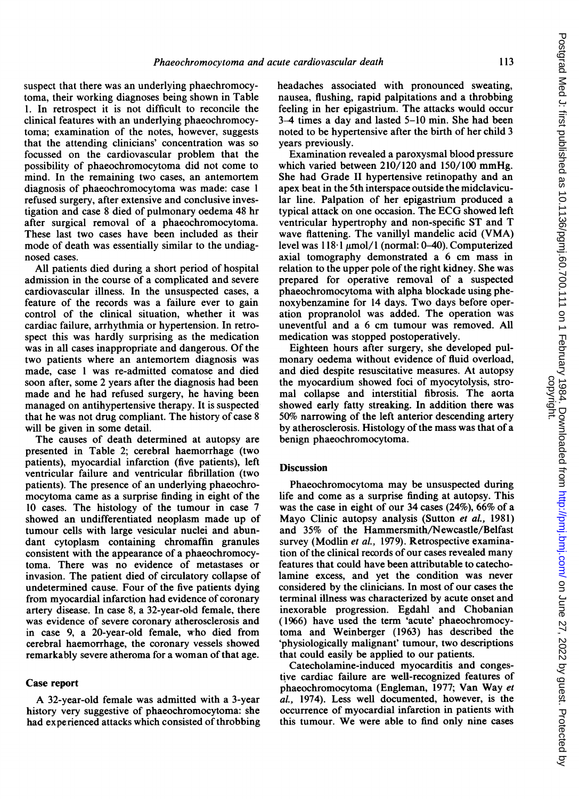suspect that there was an underlying phaechromocytoma, their working diagnoses being shown in Table 1. In retrospect it is not difficult to reconcile the clinical features with an underlying phaeochromocytoma; examination of the notes, however, suggests that the attending clinicians' concentration was so focussed on the cardiovascular problem that the possibility of phaeochromocytoma did not come to mind. In the remaining two cases, an antemortem diagnosis of phaeochromocytoma was made: case <sup>1</sup> refused surgery, after extensive and conclusive investigation and case 8 died of pulmonary oedema 48 hr after surgical removal of a phaeochromocytoma. These last two cases have been included as their mode of death was essentially similar to the undiagnosed cases.

All patients died during a short period of hospital admission in the course of a complicated and severe cardiovascular illness. In the unsuspected cases, a feature of the records was a failure ever to gain control of the clinical situation, whether it was cardiac failure, arrhythmia or hypertension. In retrospect this was hardly surprising as the medication was in all cases inappropriate and dangerous. Of the two patients where an antemortem diagnosis was made, case <sup>1</sup> was re-admitted comatose and died soon after, some 2 years after the diagnosis had been made and he had refused surgery, he having been managed on antihypertensive therapy. It is suspected that he was not drug compliant. The history of case <sup>8</sup> will be given in some detail.

The causes of death determined at autopsy are presented in Table 2; cerebral haemorrhage (two patients), myocardial infarction (five patients), left ventricular failure and ventricular fibrillation (two patients). The presence of an underlying phaeochromocytoma came as a surprise finding in eight of the 10 cases. The histology of the tumour in case 7 showed an undifferentiated neoplasm made up of tumour cells with large vesicular nuclei and abundant cytoplasm containing chromaffin granules consistent with the appearance of a phaeochromocytoma. There was no evidence of metastases or invasion. The patient died of circulatory collapse of undetermined cause. Four of the five patients dying from myocardial infarction had evidence of coronary artery disease. In case 8, a 32-year-olid female, there was evidence of severe coronary atherosclerosis and in case 9, a 20-year-old female, who died from cerebral haemorrhage, the coronary vessels showed remarkably severe atheroma for a woman of that age.

### Case report

A 32-year-old female was admitted with <sup>a</sup> 3-year history very suggestive of phaeochromocytoma: she had experienced attacks which consisted of throbbing headaches associated with pronounced sweating, nausea, flushing, rapid palpitations and a throbbing feeling in her epigastrium. The attacks would occur 3-4 times a day and lasted 5-10 min. She had been noted to be hypertensive after the birth of her child 3 years previously.

Examination revealed a paroxysmal blood pressure which varied between 210/120 and 150/100 mmHg. She had Grade II hypertensive retinopathy and an apex beat in the 5th interspace outside the midclavicular line. Palpation of her epigastrium produced a typical attack on one occasion. The ECG showed left ventricular hypertrophy and non-specific ST and T wave flattening. The vanillyl mandelic acid (VMA) level was  $118·1 \mu$ mol/1 (normal: 0-40). Computerized axial tomography demonstrated a 6 cm mass in relation to the upper pole of the right kidney. She was prepared for operative removal of a suspected phaeochromocytoma with alpha blockade using phenoxybenzamine for <sup>14</sup> days. Two days before operation propranolol was added. The operation was uneventful and a 6 cm tumour was removed. All medication was stopped postoperatively.

Eighteen hours after surgery, she developed pulmonary oedema without evidence of fluid overload, and died despite resuscitative measures. At autopsy the myocardium showed foci of myocytolysis, stromal collapse and interstitial fibrosis. The aorta showed early fatty streaking. In addition there was 50% narrowing of the left anterior descending artery by atherosclerosis. Histology of the mass was that of a benign phaeochromocytoma.

## **Discussion**

Phaeochromocytoma may be unsuspected during life and come as a surprise finding at autopsy. This was the case in eight of our 34 cases (24%), 66% of a Mayo Clinic autopsy analysis (Sutton et al., 1981) and 35% of the Hammersmith/Newcastle/Belfast survey (Modlin et al., 1979). Retrospective examination of the clinical records of our cases revealed many features that could have been attributable to catecholamine excess, and yet the condition was never considered by the clinicians. In most of our cases the terminal illness was characterized by acute onset and inexorable progression. Egdahl and Chobanian (1966) have used the term 'acute' phaeochromocytoma and Weinberger (1963) has described the 'physiologically malignant' tumour, two descriptions that could easily be applied to our patients.

Catecholamine-induced myocarditis and congestive cardiac failure are well-recognized features of phaeochromocytoma (Engleman, 1977; Van Way et al., 1974). Less well documented, however, is the occurrence of myocardial infarction in patients with this tumour. We were able to find only nine cases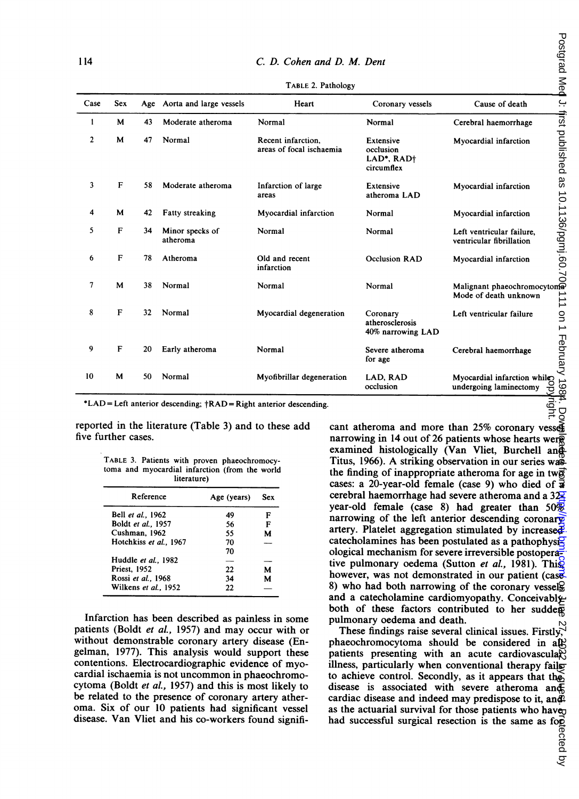| Sex | Age |                                                                            | Heart                                                                                                                                                                                           |                                                                                                                                                                                                                                                                                                                                                                                                                                                                                                                                                                                                                                                                                                                                | Coronary vessels                                                                                                                                                                                      | Cause of death                                        |                                                                                                                                                                                                                                                                                                                                                                                                                                                                                                                                                                                                                                                                                                                                                                                                                                                                                                                                                                                                                                                                                                                                                                                                                                                                                                                                                                                                                                                                                                                                                                                                                                       |
|-----|-----|----------------------------------------------------------------------------|-------------------------------------------------------------------------------------------------------------------------------------------------------------------------------------------------|--------------------------------------------------------------------------------------------------------------------------------------------------------------------------------------------------------------------------------------------------------------------------------------------------------------------------------------------------------------------------------------------------------------------------------------------------------------------------------------------------------------------------------------------------------------------------------------------------------------------------------------------------------------------------------------------------------------------------------|-------------------------------------------------------------------------------------------------------------------------------------------------------------------------------------------------------|-------------------------------------------------------|---------------------------------------------------------------------------------------------------------------------------------------------------------------------------------------------------------------------------------------------------------------------------------------------------------------------------------------------------------------------------------------------------------------------------------------------------------------------------------------------------------------------------------------------------------------------------------------------------------------------------------------------------------------------------------------------------------------------------------------------------------------------------------------------------------------------------------------------------------------------------------------------------------------------------------------------------------------------------------------------------------------------------------------------------------------------------------------------------------------------------------------------------------------------------------------------------------------------------------------------------------------------------------------------------------------------------------------------------------------------------------------------------------------------------------------------------------------------------------------------------------------------------------------------------------------------------------------------------------------------------------------|
| M   | 43  | Moderate atheroma                                                          | Normal                                                                                                                                                                                          |                                                                                                                                                                                                                                                                                                                                                                                                                                                                                                                                                                                                                                                                                                                                | Normal                                                                                                                                                                                                | Cerebral haemorrhage                                  |                                                                                                                                                                                                                                                                                                                                                                                                                                                                                                                                                                                                                                                                                                                                                                                                                                                                                                                                                                                                                                                                                                                                                                                                                                                                                                                                                                                                                                                                                                                                                                                                                                       |
| M   | 47  | Normal                                                                     | Recent infarction,                                                                                                                                                                              |                                                                                                                                                                                                                                                                                                                                                                                                                                                                                                                                                                                                                                                                                                                                | Extensive<br>occlusion<br>LAD*, RAD†<br>circumflex                                                                                                                                                    | Myocardial infarction                                 | Postgrad Med J: first published as 10.1136/pgmj.60.7                                                                                                                                                                                                                                                                                                                                                                                                                                                                                                                                                                                                                                                                                                                                                                                                                                                                                                                                                                                                                                                                                                                                                                                                                                                                                                                                                                                                                                                                                                                                                                                  |
| F   | 58  | Moderate atheroma                                                          | Infarction of large<br>areas                                                                                                                                                                    |                                                                                                                                                                                                                                                                                                                                                                                                                                                                                                                                                                                                                                                                                                                                | Extensive<br>atheroma LAD                                                                                                                                                                             | Myocardial infarction                                 |                                                                                                                                                                                                                                                                                                                                                                                                                                                                                                                                                                                                                                                                                                                                                                                                                                                                                                                                                                                                                                                                                                                                                                                                                                                                                                                                                                                                                                                                                                                                                                                                                                       |
| М   | 42  | <b>Fatty streaking</b>                                                     |                                                                                                                                                                                                 |                                                                                                                                                                                                                                                                                                                                                                                                                                                                                                                                                                                                                                                                                                                                | Normal                                                                                                                                                                                                | Myocardial infarction                                 |                                                                                                                                                                                                                                                                                                                                                                                                                                                                                                                                                                                                                                                                                                                                                                                                                                                                                                                                                                                                                                                                                                                                                                                                                                                                                                                                                                                                                                                                                                                                                                                                                                       |
| F   | 34  | Minor specks of<br>atheroma                                                | Normal                                                                                                                                                                                          |                                                                                                                                                                                                                                                                                                                                                                                                                                                                                                                                                                                                                                                                                                                                | Normal                                                                                                                                                                                                | Left ventricular failure,<br>ventricular fibrillation |                                                                                                                                                                                                                                                                                                                                                                                                                                                                                                                                                                                                                                                                                                                                                                                                                                                                                                                                                                                                                                                                                                                                                                                                                                                                                                                                                                                                                                                                                                                                                                                                                                       |
| F   | 78  | Atheroma                                                                   | Old and recent<br>infarction                                                                                                                                                                    |                                                                                                                                                                                                                                                                                                                                                                                                                                                                                                                                                                                                                                                                                                                                | <b>Occlusion RAD</b>                                                                                                                                                                                  | Myocardial infarction                                 |                                                                                                                                                                                                                                                                                                                                                                                                                                                                                                                                                                                                                                                                                                                                                                                                                                                                                                                                                                                                                                                                                                                                                                                                                                                                                                                                                                                                                                                                                                                                                                                                                                       |
| M   | 38  | Normal                                                                     | Normal                                                                                                                                                                                          |                                                                                                                                                                                                                                                                                                                                                                                                                                                                                                                                                                                                                                                                                                                                | Normal                                                                                                                                                                                                | Mode of death unknown                                 | $\frac{1}{2}$                                                                                                                                                                                                                                                                                                                                                                                                                                                                                                                                                                                                                                                                                                                                                                                                                                                                                                                                                                                                                                                                                                                                                                                                                                                                                                                                                                                                                                                                                                                                                                                                                         |
| F   | 32  | Normal                                                                     |                                                                                                                                                                                                 |                                                                                                                                                                                                                                                                                                                                                                                                                                                                                                                                                                                                                                                                                                                                | Coronary<br>atherosclerosis<br>40% narrowing LAD                                                                                                                                                      | Left ventricular failure                              | on 1 February 1984.                                                                                                                                                                                                                                                                                                                                                                                                                                                                                                                                                                                                                                                                                                                                                                                                                                                                                                                                                                                                                                                                                                                                                                                                                                                                                                                                                                                                                                                                                                                                                                                                                   |
| F   | 20  | Early atheroma                                                             | Normal                                                                                                                                                                                          |                                                                                                                                                                                                                                                                                                                                                                                                                                                                                                                                                                                                                                                                                                                                | Severe atheroma<br>for age                                                                                                                                                                            | Cerebral haemorrhage                                  |                                                                                                                                                                                                                                                                                                                                                                                                                                                                                                                                                                                                                                                                                                                                                                                                                                                                                                                                                                                                                                                                                                                                                                                                                                                                                                                                                                                                                                                                                                                                                                                                                                       |
| M   | 50  | Normal                                                                     |                                                                                                                                                                                                 |                                                                                                                                                                                                                                                                                                                                                                                                                                                                                                                                                                                                                                                                                                                                | LAD, RAD<br>occlusion                                                                                                                                                                                 | undergoing laminectomy                                | ဗွ                                                                                                                                                                                                                                                                                                                                                                                                                                                                                                                                                                                                                                                                                                                                                                                                                                                                                                                                                                                                                                                                                                                                                                                                                                                                                                                                                                                                                                                                                                                                                                                                                                    |
|     |     | literature)<br>Age (years)<br>49<br>56<br>55<br>70<br>70<br>22<br>34<br>22 | Sex<br>F<br>F<br>M<br>M<br>М                                                                                                                                                                    |                                                                                                                                                                                                                                                                                                                                                                                                                                                                                                                                                                                                                                                                                                                                |                                                                                                                                                                                                       |                                                       |                                                                                                                                                                                                                                                                                                                                                                                                                                                                                                                                                                                                                                                                                                                                                                                                                                                                                                                                                                                                                                                                                                                                                                                                                                                                                                                                                                                                                                                                                                                                                                                                                                       |
|     |     | five further cases.<br><b>Priest, 1952</b>                                 | Aorta and large vessels<br>Reference<br>Bell et al., 1962<br>Boldt et al., 1957<br>Cushman, 1962<br>Hotchkiss et al., 1967<br>Huddle et al., 1982<br>Rossi et al., 1968<br>Wilkens et al., 1952 | reported in the literature (Table 3) and to these add<br>TABLE 3. Patients with proven phaeochromocy-<br>toma and myocardial infarction (from the world<br>Infarction has been described as painless in some<br>patients (Boldt <i>et al.</i> , 1957) and may occur with or<br>without demonstrable coronary artery disease (En-<br>elman, 1977). This analysis would support these<br>contentions. Electrocardiographic evidence of myo-<br>cardial ischaemia is not uncommon in phaeochromo-<br>cytoma (Boldt et al., 1957) and this is most likely to<br>be related to the presence of coronary artery ather-<br>oma. Six of our 10 patients had significant vessel<br>lisease. Van Vliet and his co-workers found signifi- | TABLE 2. Pathology<br>areas of focal ischaemia<br>Myocardial infarction<br>Myocardial degeneration<br>Myofibrillar degeneration<br>*LAD = Left anterior descending; †RAD = Right anterior descending. | C. D. Cohen and D. M. Dent                            | Malignant phaeochromocytom<br>Myocardial infarction while<br>cant atheroma and more than 25% coronary vesses<br>narrowing in 14 out of 26 patients whose hearts wer $\bar{g}$<br>examined histologically (Van Vliet, Burchell and<br>Titus, 1966). A striking observation in our series was<br>the finding of inappropriate atheroma for age in two<br>cases: a 20-year-old female (case 9) who died of $\vec{a}$<br>cerebral haemorrhage had severe atheroma and a $32\frac{2}{5}$<br>year-old female (case 8) had greater than $50\%$<br>narrowing of the left anterior descending coronary<br>artery. Platelet aggregation stimulated by increased.<br>catecholamines has been postulated as a pathophysi <sup>g</sup><br>ological mechanism for severe irreversible postoperaz<br>tive pulmonary oedema (Sutton et al., 1981). This<br>however, was not demonstrated in our patient (case<br>8) who had both narrowing of the coronary vessels<br>and a catecholamine cardiomyopathy. Conceivably<br>both of these factors contributed to her sudder<br>pulmonary oedema and death.<br>These findings raise several clinical issues. Firstly, $\forall$<br>phaeochromocytoma should be considered in all-<br>patients presenting with an acute cardiovasculary<br>illness, particularly when conventional therapy fails<br>to achieve control. Secondly, as it appears that the<br>disease is associated with severe atheroma and<br>cardiac disease and indeed may predispose to it, and $\hat{p}$<br>as the actuarial survival for those patients who have <sub>U</sub><br>had successful surgical resection is the same as for |

TABLE 2. Pathology

TABLE 3. Patients with proven phaeochromocytoma and myocardial infarction (from the world literature)

| Reference              | Age (years) | Sex |
|------------------------|-------------|-----|
| Bell et al., 1962      | 49          | F   |
| Boldt et al., 1957     | 56          | F   |
| Cushman, 1962          | 55          | м   |
| Hotchkiss et al., 1967 | 70          |     |
|                        | 70          |     |
| Huddle et al., 1982    |             |     |
| <b>Priest. 1952</b>    | 22          | м   |
| Rossi et al., 1968     | 34          | м   |
| Wilkens et al., 1952   | 22          |     |